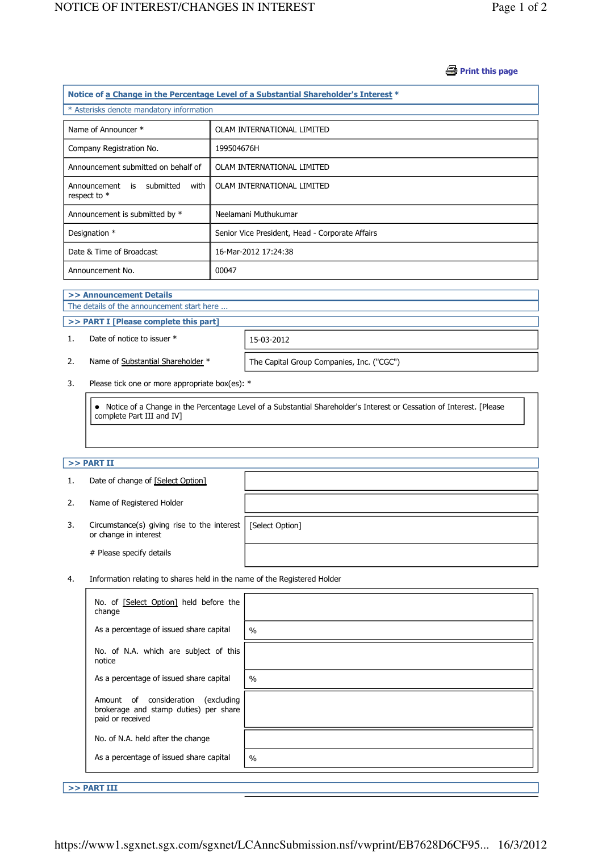#### **Print this page**

| Notice of a Change in the Percentage Level of a Substantial Shareholder's Interest * |                                                 |  |  |  |
|--------------------------------------------------------------------------------------|-------------------------------------------------|--|--|--|
| * Asterisks denote mandatory information                                             |                                                 |  |  |  |
| Name of Announcer *                                                                  | OLAM INTERNATIONAL LIMITED                      |  |  |  |
| Company Registration No.                                                             | 199504676H                                      |  |  |  |
| Announcement submitted on behalf of                                                  | OLAM INTERNATIONAL LIMITED                      |  |  |  |
| Announcement is submitted<br>with<br>respect to $*$                                  | OLAM INTERNATIONAL LIMITED                      |  |  |  |
| Announcement is submitted by *                                                       | Neelamani Muthukumar                            |  |  |  |
| Designation *                                                                        | Senior Vice President, Head - Corporate Affairs |  |  |  |
| Date & Time of Broadcast                                                             | 16-Mar-2012 17:24:38                            |  |  |  |
| Announcement No.                                                                     | 00047                                           |  |  |  |

#### >> Announcement Details

J

J

The details of the announcement start here ...

### >> PART I [Please complete this part]

1. Date of notice to issuer \* 15-03-2012

2. Name of Substantial Shareholder \* The Capital Group Companies, Inc. ("CGC")

3. Please tick one or more appropriate box(es): \*

 Notice of a Change in the Percentage Level of a Substantial Shareholder's Interest or Cessation of Interest. [Please complete Part III and IV]

## $>>$  PART II

|    | Date of change of [Select Option]                                                      |  |
|----|----------------------------------------------------------------------------------------|--|
| 2. | Name of Registered Holder                                                              |  |
| 3. | Circumstance(s) giving rise to the interest   [Select Option]<br>or change in interest |  |
|    | # Please specify details                                                               |  |

4. Information relating to shares held in the name of the Registered Holder

| No. of [Select Option] held before the<br>change                                                   |               |
|----------------------------------------------------------------------------------------------------|---------------|
| As a percentage of issued share capital                                                            | $\frac{0}{0}$ |
| No. of N.A. which are subject of this<br>notice                                                    |               |
| As a percentage of issued share capital                                                            | $\%$          |
| Amount of consideration<br>excluding)<br>brokerage and stamp duties) per share<br>paid or received |               |
| No. of N.A. held after the change                                                                  |               |
| As a percentage of issued share capital                                                            | $\%$          |

>> PART III